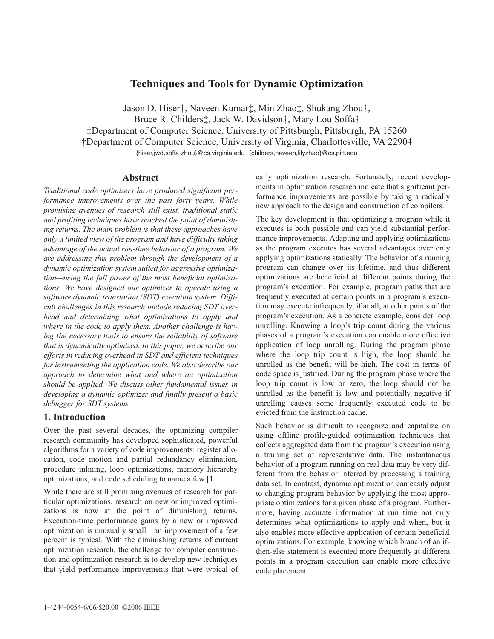# **Techniques and Tools for Dynamic Optimization**

Jason D. Hiser†, Naveen Kumar‡, Min Zhao‡, Shukang Zhou†, Bruce R. Childers‡, Jack W. Davidson†, Mary Lou Soffa† ‡Department of Computer Science, University of Pittsburgh, Pittsburgh, PA 15260 †Department of Computer Science, University of Virginia, Charlottesville, VA 22904 {hiser,jwd,soffa,zhou}@cs.virginia.edu {childers,naveen,lilyzhao}@cs.pitt.edu

# **Abstract**

*Traditional code optimizers have produced significant performance improvements over the past forty years. While promising avenues of research still exist, traditional static and profiling techniques have reached the point of diminishing returns. The main problem is that these approaches have only a limited view of the program and have difficulty taking advantage of the actual run-time behavior of a program. We are addressing this problem through the development of a dynamic optimization system suited for aggressive optimization—using the full power of the most beneficial optimizations. We have designed our optimizer to operate using a software dynamic translation (SDT) execution system. Difficult challenges in this research include reducing SDT overhead and determining what optimizations to apply and where in the code to apply them. Another challenge is having the necessary tools to ensure the reliability of software that is dynamically optimized. In this paper, we describe our efforts in reducing overhead in SDT and efficient techniques for instrumenting the application code. We also describe our approach to determine what and where an optimization should be applied. We discuss other fundamental issues in developing a dynamic optimizer and finally present a basic debugger for SDT systems.* 

# **1. Introduction**

Over the past several decades, the optimizing compiler research community has developed sophisticated, powerful algorithms for a variety of code improvements: register allocation, code motion and partial redundancy elimination, procedure inlining, loop optimizations, memory hierarchy optimizations, and code scheduling to name a few [1].

While there are still promising avenues of research for particular optimizations, research on new or improved optimizations is now at the point of diminishing returns. Execution-time performance gains by a new or improved optimization is unusually small—an improvement of a few percent is typical. With the diminishing returns of current optimization research, the challenge for compiler construction and optimization research is to develop new techniques that yield performance improvements that were typical of early optimization research. Fortunately, recent developments in optimization research indicate that significant performance improvements are possible by taking a radically new approach to the design and construction of compilers.

The key development is that optimizing a program while it executes is both possible and can yield substantial performance improvements. Adapting and applying optimizations as the program executes has several advantages over only applying optimizations statically. The behavior of a running program can change over its lifetime, and thus different optimizations are beneficial at different points during the program's execution. For example, program paths that are frequently executed at certain points in a program's execution may execute infrequently, if at all, at other points of the program's execution. As a concrete example, consider loop unrolling. Knowing a loop's trip count during the various phases of a program's execution can enable more effective application of loop unrolling. During the program phase where the loop trip count is high, the loop should be unrolled as the benefit will be high. The cost in terms of code space is justified. During the program phase where the loop trip count is low or zero, the loop should not be unrolled as the benefit is low and potentially negative if unrolling causes some frequently executed code to be evicted from the instruction cache.

Such behavior is difficult to recognize and capitalize on using offline profile-guided optimization techniques that collects aggregated data from the program's execution using a training set of representative data. The instantaneous behavior of a program running on real data may be very different from the behavior inferred by processing a training data set. In contrast, dynamic optimization can easily adjust to changing program behavior by applying the most appropriate optimizations for a given phase of a program. Furthermore, having accurate information at run time not only determines what optimizations to apply and when, but it also enables more effective application of certain beneficial optimizations. For example, knowing which branch of an ifthen-else statement is executed more frequently at different points in a program execution can enable more effective code placement.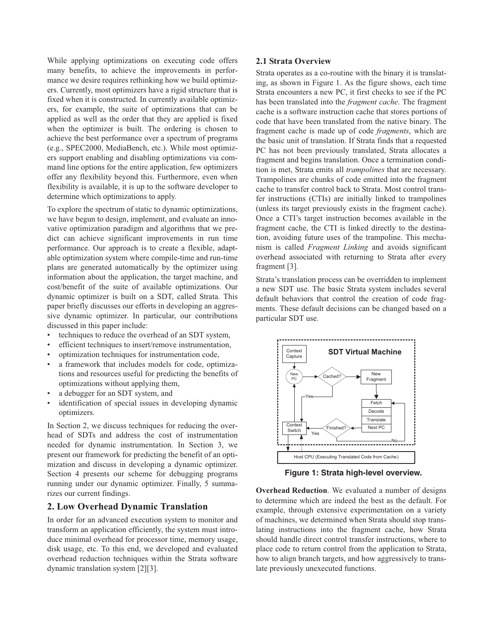While applying optimizations on executing code offers many benefits, to achieve the improvements in performance we desire requires rethinking how we build optimizers. Currently, most optimizers have a rigid structure that is fixed when it is constructed. In currently available optimizers, for example, the suite of optimizations that can be applied as well as the order that they are applied is fixed when the optimizer is built. The ordering is chosen to achieve the best performance over a spectrum of programs (e.g., SPEC2000, MediaBench, etc.). While most optimizers support enabling and disabling optimizations via command line options for the entire application, few optimizers offer any flexibility beyond this. Furthermore, even when flexibility is available, it is up to the software developer to determine which optimizations to apply.

To explore the spectrum of static to dynamic optimizations, we have begun to design, implement, and evaluate an innovative optimization paradigm and algorithms that we predict can achieve significant improvements in run time performance. Our approach is to create a flexible, adaptable optimization system where compile-time and run-time plans are generated automatically by the optimizer using information about the application, the target machine, and cost/benefit of the suite of available optimizations. Our dynamic optimizer is built on a SDT, called Strata. This paper briefly discusses our efforts in developing an aggressive dynamic optimizer. In particular, our contributions discussed in this paper include:

- techniques to reduce the overhead of an SDT system,
- efficient techniques to insert/remove instrumentation,
- optimization techniques for instrumentation code,
- a framework that includes models for code, optimizations and resources useful for predicting the benefits of optimizations without applying them,
- a debugger for an SDT system, and
- identification of special issues in developing dynamic optimizers.

In Section 2, we discuss techniques for reducing the overhead of SDTs and address the cost of instrumentation needed for dynamic instrumentation. In Section 3, we present our framework for predicting the benefit of an optimization and discuss in developing a dynamic optimizer. Section 4 presents our scheme for debugging programs running under our dynamic optimizer. Finally, 5 summarizes our current findings.

### **2. Low Overhead Dynamic Translation**

In order for an advanced execution system to monitor and transform an application efficiently, the system must introduce minimal overhead for processor time, memory usage, disk usage, etc. To this end, we developed and evaluated overhead reduction techniques within the Strata software dynamic translation system [2][3].

#### **2.1 Strata Overview**

Strata operates as a co-routine with the binary it is translating, as shown in Figure 1. As the figure shows, each time Strata encounters a new PC, it first checks to see if the PC has been translated into the *fragment cache*. The fragment cache is a software instruction cache that stores portions of code that have been translated from the native binary. The fragment cache is made up of code *fragments*, which are the basic unit of translation. If Strata finds that a requested PC has not been previously translated, Strata allocates a fragment and begins translation. Once a termination condition is met, Strata emits all *trampolines* that are necessary. Trampolines are chunks of code emitted into the fragment cache to transfer control back to Strata. Most control transfer instructions (CTIs) are initially linked to trampolines (unless its target previously exists in the fragment cache). Once a CTI's target instruction becomes available in the fragment cache, the CTI is linked directly to the destination, avoiding future uses of the trampoline. This mechanism is called *Fragment Linking* and avoids significant overhead associated with returning to Strata after every fragment [3].

Strata's translation process can be overridden to implement a new SDT use. The basic Strata system includes several default behaviors that control the creation of code fragments. These default decisions can be changed based on a particular SDT use.



**Figure 1: Strata high-level overview.**

**Overhead Reduction**. We evaluated a number of designs to determine which are indeed the best as the default. For example, through extensive experimentation on a variety of machines, we determined when Strata should stop translating instructions into the fragment cache, how Strata should handle direct control transfer instructions, where to place code to return control from the application to Strata, how to align branch targets, and how aggressively to translate previously unexecuted functions.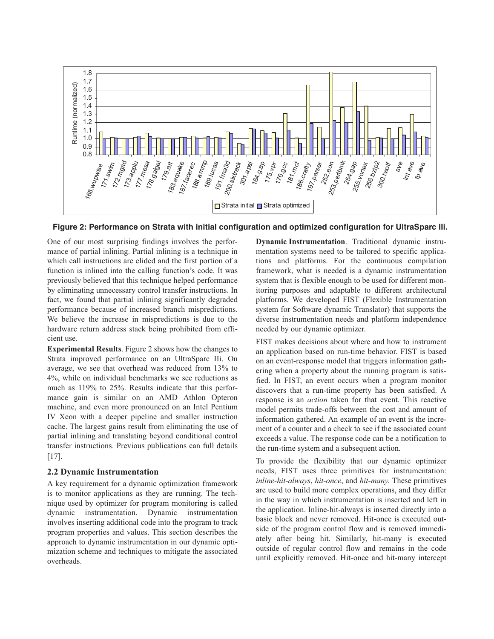

**Figure 2: Performance on Strata with initial configuration and optimized configuration for UltraSparc IIi.**

One of our most surprising findings involves the performance of partial inlining. Partial inlining is a technique in which call instructions are elided and the first portion of a function is inlined into the calling function's code. It was previously believed that this technique helped performance by eliminating unnecessary control transfer instructions. In fact, we found that partial inlining significantly degraded performance because of increased branch mispredictions. We believe the increase in mispredictions is due to the hardware return address stack being prohibited from efficient use.

**Experimental Results**. Figure 2 shows how the changes to Strata improved performance on an UltraSparc IIi. On average, we see that overhead was reduced from 13% to 4%, while on individual benchmarks we see reductions as much as 119% to 25%. Results indicate that this performance gain is similar on an AMD Athlon Opteron machine, and even more pronounced on an Intel Pentium IV Xeon with a deeper pipeline and smaller instruction cache. The largest gains result from eliminating the use of partial inlining and translating beyond conditional control transfer instructions. Previous publications can full details [17].

# **2.2 Dynamic Instrumentation**

A key requirement for a dynamic optimization framework is to monitor applications as they are running. The technique used by optimizer for program monitoring is called dynamic instrumentation. Dynamic instrumentation involves inserting additional code into the program to track program properties and values. This section describes the approach to dynamic instrumentation in our dynamic optimization scheme and techniques to mitigate the associated overheads.

**Dynamic Instrumentation**. Traditional dynamic instrumentation systems need to be tailored to specific applications and platforms. For the continuous compilation framework, what is needed is a dynamic instrumentation system that is flexible enough to be used for different monitoring purposes and adaptable to different architectural platforms. We developed FIST (Flexible Instrumentation system for Software dynamic Translator) that supports the diverse instrumentation needs and platform independence needed by our dynamic optimizer.

FIST makes decisions about where and how to instrument an application based on run-time behavior. FIST is based on an event-response model that triggers information gathering when a property about the running program is satisfied. In FIST, an event occurs when a program monitor discovers that a run-time property has been satisfied. A response is an *action* taken for that event. This reactive model permits trade-offs between the cost and amount of information gathered. An example of an event is the increment of a counter and a check to see if the associated count exceeds a value. The response code can be a notification to the run-time system and a subsequent action.

To provide the flexibility that our dynamic optimizer needs, FIST uses three primitives for instrumentation: *inline-hit-always*, *hit-once*, and *hit-many*. These primitives are used to build more complex operations, and they differ in the way in which instrumentation is inserted and left in the application. Inline-hit-always is inserted directly into a basic block and never removed. Hit-once is executed outside of the program control flow and is removed immediately after being hit. Similarly, hit-many is executed outside of regular control flow and remains in the code until explicitly removed. Hit-once and hit-many intercept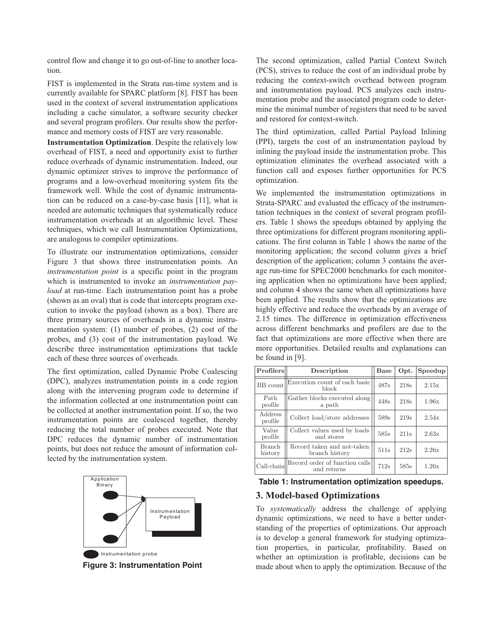control flow and change it to go out-of-line to another location.

FIST is implemented in the Strata run-time system and is currently available for SPARC platform [8]. FIST has been used in the context of several instrumentation applications including a cache simulator, a software security checker and several program profilers. Our results show the performance and memory costs of FIST are very reasonable.

**Instrumentation Optimization**. Despite the relatively low overhead of FIST, a need and opportunity exist to further reduce overheads of dynamic instrumentation. Indeed, our dynamic optimizer strives to improve the performance of programs and a low-overhead monitoring system fits the framework well. While the cost of dynamic instrumentation can be reduced on a case-by-case basis [11], what is needed are automatic techniques that systematically reduce instrumentation overheads at an algorithmic level. These techniques, which we call Instrumentation Optimizations, are analogous to compiler optimizations.

To illustrate our instrumentation optimizations, consider Figure 3 that shows three instrumentation points. An *instrumentation point* is a specific point in the program which is instrumented to invoke an *instrumentation payload* at run-time. Each instrumentation point has a probe (shown as an oval) that is code that intercepts program execution to invoke the payload (shown as a box). There are three primary sources of overheads in a dynamic instrumentation system: (1) number of probes, (2) cost of the probes, and (3) cost of the instrumentation payload. We describe three instrumentation optimizations that tackle each of these three sources of overheads.

The first optimization, called Dynamic Probe Coalescing (DPC), analyzes instrumentation points in a code region along with the intervening program code to determine if the information collected at one instrumentation point can be collected at another instrumentation point. If so, the two instrumentation points are coalesced together, thereby reducing the total number of probes executed. Note that DPC reduces the dynamic number of instrumentation points, but does not reduce the amount of information collected by the instrumentation system.



The second optimization, called Partial Context Switch (PCS), strives to reduce the cost of an individual probe by reducing the context-switch overhead between program and instrumentation payload. PCS analyzes each instrumentation probe and the associated program code to determine the minimal number of registers that need to be saved and restored for context-switch.

The third optimization, called Partial Payload Inlining (PPI), targets the cost of an instrumentation payload by inlining the payload inside the instrumentation probe. This optimization eliminates the overhead associated with a function call and exposes further opportunities for PCS optimization.

We implemented the instrumentation optimizations in Strata-SPARC and evaluated the efficacy of the instrumentation techniques in the context of several program profilers. Table 1 shows the speedups obtained by applying the three optimizations for different program monitoring applications. The first column in Table 1 shows the name of the monitoring application; the second column gives a brief description of the application; column 3 contains the average run-time for SPEC2000 benchmarks for each monitoring application when no optimizations have been applied; and column 4 shows the same when all optimizations have been applied. The results show that the optimizations are highly effective and reduce the overheads by an average of 2.15 times. The difference in optimization effectiveness across different benchmarks and profilers are due to the fact that optimizations are more effective when there are more opportunities. Detailed results and explanations can be found in [9].

| Profilers          | Description                                   | <b>Base</b> | Opt.             | Speedup |
|--------------------|-----------------------------------------------|-------------|------------------|---------|
| BB count           | Execution count of each basic<br>block        | 487s        | 218s             | 2.15x   |
| Path<br>profile    | Gather blocks executed along<br>a path        | 448s        | 218s             | 1.96x   |
| Address<br>profile | Collect load/store addresses                  | 589s        | 219 <sub>s</sub> | 2.54x   |
| Value<br>profile   | Collect values used by loads<br>and stores    | 585s        | 211s             | 2.63x   |
| Branch<br>history  | Record taken and not-taken<br>branch history  | 511s        | 212s             | 2.26x   |
| Call-chain         | Record order of function calls<br>and returns | 712s        | 585s             | 1.26x   |

# **Table 1: Instrumentation optimization speedups.**

# **3. Model-based Optimizations**

To *systematically* address the challenge of applying dynamic optimizations, we need to have a better understanding of the properties of optimizations. Our approach is to develop a general framework for studying optimization properties, in particular, profitability. Based on whether an optimization is profitable, decisions can be **Figure 3: Instrumentation Point** made about when to apply the optimization. Because of the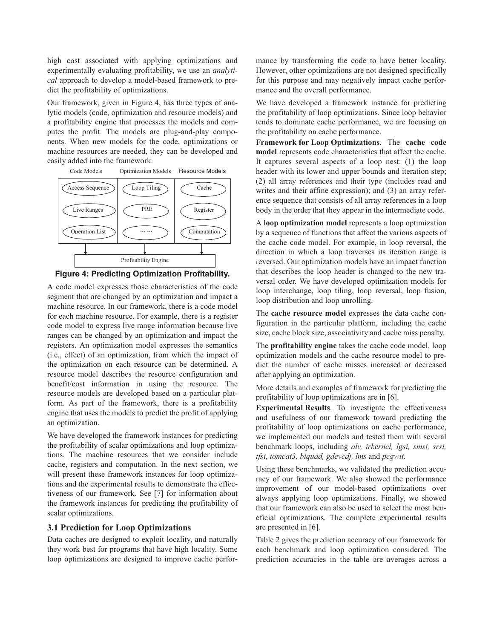high cost associated with applying optimizations and experimentally evaluating profitability, we use an *analytical* approach to develop a model-based framework to predict the profitability of optimizations.

Our framework, given in Figure 4, has three types of analytic models (code, optimization and resource models) and a profitability engine that processes the models and computes the profit. The models are plug-and-play components. When new models for the code, optimizations or machine resources are needed, they can be developed and easily added into the framework.





A code model expresses those characteristics of the code segment that are changed by an optimization and impact a machine resource. In our framework, there is a code model for each machine resource. For example, there is a register code model to express live range information because live ranges can be changed by an optimization and impact the registers. An optimization model expresses the semantics (i.e., effect) of an optimization, from which the impact of the optimization on each resource can be determined. A resource model describes the resource configuration and benefit/cost information in using the resource. The resource models are developed based on a particular platform. As part of the framework, there is a profitability engine that uses the models to predict the profit of applying an optimization.

We have developed the framework instances for predicting the profitability of scalar optimizations and loop optimizations. The machine resources that we consider include cache, registers and computation. In the next section, we will present these framework instances for loop optimizations and the experimental results to demonstrate the effectiveness of our framework. See [7] for information about the framework instances for predicting the profitability of scalar optimizations.

#### **3.1 Prediction for Loop Optimizations**

Data caches are designed to exploit locality, and naturally they work best for programs that have high locality. Some loop optimizations are designed to improve cache perfor-

mance by transforming the code to have better locality. However, other optimizations are not designed specifically for this purpose and may negatively impact cache performance and the overall performance.

We have developed a framework instance for predicting the profitability of loop optimizations. Since loop behavior tends to dominate cache performance, we are focusing on the profitability on cache performance.

**Framework for Loop Optimizations**. The **cache code model** represents code characteristics that affect the cache. It captures several aspects of a loop nest: (1) the loop header with its lower and upper bounds and iteration step; (2) all array references and their type (includes read and writes and their affine expression); and (3) an array reference sequence that consists of all array references in a loop body in the order that they appear in the intermediate code.

A **loop optimization model** represents a loop optimization by a sequence of functions that affect the various aspects of the cache code model. For example, in loop reversal, the direction in which a loop traverses its iteration range is reversed. Our optimization models have an impact function that describes the loop header is changed to the new traversal order. We have developed optimization models for loop interchange, loop tiling, loop reversal, loop fusion, loop distribution and loop unrolling.

The **cache resource model** expresses the data cache configuration in the particular platform, including the cache size, cache block size, associativity and cache miss penalty.

The **profitability engine** takes the cache code model, loop optimization models and the cache resource model to predict the number of cache misses increased or decreased after applying an optimization.

More details and examples of framework for predicting the profitability of loop optimizations are in [6].

**Experimental Results**. To investigate the effectiveness and usefulness of our framework toward predicting the profitability of loop optimizations on cache performance, we implemented our models and tested them with several benchmark loops, including *alv, irkernel, lgsi, smsi, srsi, tfsi, tomcat3, biquad, gdevcdj, lms* and *pegwit*.

Using these benchmarks, we validated the prediction accuracy of our framework. We also showed the performance improvement of our model-based optimizations over always applying loop optimizations. Finally, we showed that our framework can also be used to select the most beneficial optimizations. The complete experimental results are presented in [6].

Table 2 gives the prediction accuracy of our framework for each benchmark and loop optimization considered. The prediction accuracies in the table are averages across a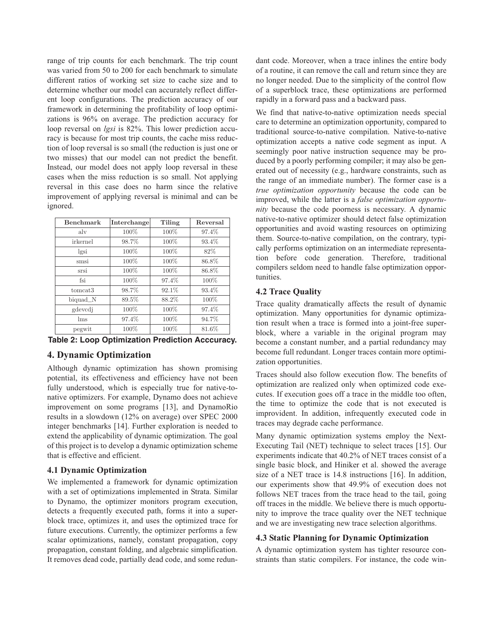range of trip counts for each benchmark. The trip count was varied from 50 to 200 for each benchmark to simulate different ratios of working set size to cache size and to determine whether our model can accurately reflect different loop configurations. The prediction accuracy of our framework in determining the profitability of loop optimizations is 96% on average. The prediction accuracy for loop reversal on *lgsi* is 82%. This lower prediction accuracy is because for most trip counts, the cache miss reduction of loop reversal is so small (the reduction is just one or two misses) that our model can not predict the benefit. Instead, our model does not apply loop reversal in these cases when the miss reduction is so small. Not applying reversal in this case does no harm since the relative improvement of applying reversal is minimal and can be ignored.

| <b>Benchmark</b>    | Interchange | <b>Tiling</b> | Reversal |
|---------------------|-------------|---------------|----------|
| alv                 | 100%        | 100%          | 97.4%    |
| irkernel            | 98.7%       | 100%          | 93.4%    |
| lgsi                | 100%        | 100%          | 82%      |
| smsi                | 100%        | 100%          | 86.8%    |
| srsi                | 100%        | 100%          | 86.8%    |
| fsi                 | 100%        | 97.4%         | 100%     |
| tomcat <sub>3</sub> | 98.7%       | 92.1%         | 93.4%    |
| biquad_N            | 89.5%       | 88.2%         | 100%     |
| gdevcdj             | 100%        | 100%          | 97.4%    |
| lms                 | 97.4%       | 100%          | 94.7%    |
| pegwit              | 100%        | 100%          | 81.6%    |

**Table 2: Loop Optimization Prediction Acccuracy.**

### **4. Dynamic Optimization**

Although dynamic optimization has shown promising potential, its effectiveness and efficiency have not been fully understood, which is especially true for native-tonative optimizers. For example, Dynamo does not achieve improvement on some programs [13], and DynamoRio results in a slowdown (12% on average) over SPEC 2000 integer benchmarks [14]. Further exploration is needed to extend the applicability of dynamic optimization. The goal of this project is to develop a dynamic optimization scheme that is effective and efficient.

#### **4.1 Dynamic Optimization**

We implemented a framework for dynamic optimization with a set of optimizations implemented in Strata. Similar to Dynamo, the optimizer monitors program execution, detects a frequently executed path, forms it into a superblock trace, optimizes it, and uses the optimized trace for future executions. Currently, the optimizer performs a few scalar optimizations, namely, constant propagation, copy propagation, constant folding, and algebraic simplification. It removes dead code, partially dead code, and some redundant code. Moreover, when a trace inlines the entire body of a routine, it can remove the call and return since they are no longer needed. Due to the simplicity of the control flow of a superblock trace, these optimizations are performed rapidly in a forward pass and a backward pass.

We find that native-to-native optimization needs special care to determine an optimization opportunity, compared to traditional source-to-native compilation. Native-to-native optimization accepts a native code segment as input. A seemingly poor native instruction sequence may be produced by a poorly performing compiler; it may also be generated out of necessity (e.g., hardware constraints, such as the range of an immediate number). The former case is a *true optimization opportunity* because the code can be improved, while the latter is a *false optimization opportunity* because the code poorness is necessary. A dynamic native-to-native optimizer should detect false optimization opportunities and avoid wasting resources on optimizing them. Source-to-native compilation, on the contrary, typically performs optimization on an intermediate representation before code generation. Therefore, traditional compilers seldom need to handle false optimization opportunities.

# **4.2 Trace Quality**

Trace quality dramatically affects the result of dynamic optimization. Many opportunities for dynamic optimization result when a trace is formed into a joint-free superblock, where a variable in the original program may become a constant number, and a partial redundancy may become full redundant. Longer traces contain more optimization opportunities.

Traces should also follow execution flow. The benefits of optimization are realized only when optimized code executes. If execution goes off a trace in the middle too often, the time to optimize the code that is not executed is improvident. In addition, infrequently executed code in traces may degrade cache performance.

Many dynamic optimization systems employ the Next-Executing Tail (NET) technique to select traces [15]. Our experiments indicate that 40.2% of NET traces consist of a single basic block, and Hiniker et al. showed the average size of a NET trace is 14.8 instructions [16]. In addition, our experiments show that 49.9% of execution does not follows NET traces from the trace head to the tail, going off traces in the middle. We believe there is much opportunity to improve the trace quality over the NET technique and we are investigating new trace selection algorithms.

# **4.3 Static Planning for Dynamic Optimization**

A dynamic optimization system has tighter resource constraints than static compilers. For instance, the code win-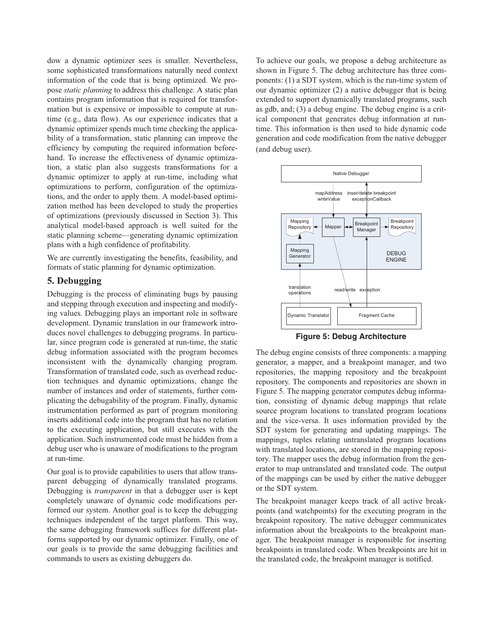dow a dynamic optimizer sees is smaller. Nevertheless, some sophisticated transformations naturally need context information of the code that is being optimized. We propose *static planning* to address this challenge. A static plan contains program information that is required for transformation but is expensive or impossible to compute at runtime (e.g., data flow). As our experience indicates that a dynamic optimizer spends much time checking the applicability of a transformation, static planning can improve the efficiency by computing the required information beforehand. To increase the effectiveness of dynamic optimization, a static plan also suggests transformations for a dynamic optimizer to apply at run-time, including what optimizations to perform, configuration of the optimizations, and the order to apply them. A model-based optimization method has been developed to study the properties of optimizations (previously discussed in Section 3). This analytical model-based approach is well suited for the static planning scheme—generating dynamic optimization plans with a high confidence of profitability.

We are currently investigating the benefits, feasibility, and formats of static planning for dynamic optimization.

# **5. Debugging**

Debugging is the process of eliminating bugs by pausing and stepping through execution and inspecting and modifying values. Debugging plays an important role in software development. Dynamic translation in our framework introduces novel challenges to debugging programs. In particular, since program code is generated at run-time, the static debug information associated with the program becomes inconsistent with the dynamically changing program. Transformation of translated code, such as overhead reduction techniques and dynamic optimizations, change the number of instances and order of statements, further complicating the debugability of the program. Finally, dynamic instrumentation performed as part of program monitoring inserts additional code into the program that has no relation to the executing application, but still executes with the application. Such instrumented code must be hidden from a debug user who is unaware of modifications to the program at run-time.

Our goal is to provide capabilities to users that allow transparent debugging of dynamically translated programs. Debugging is *transparent* in that a debugger user is kept completely unaware of dynamic code modifications performed our system. Another goal is to keep the debugging techniques independent of the target platform. This way, the same debugging framework suffices for different platforms supported by our dynamic optimizer. Finally, one of our goals is to provide the same debugging facilities and commands to users as existing debuggers do.

To achieve our goals, we propose a debug architecture as shown in Figure 5. The debug architecture has three components: (1) a SDT system, which is the run-time system of our dynamic optimizer (2) a native debugger that is being extended to support dynamically translated programs, such as gdb, and; (3) a debug engine. The debug engine is a critical component that generates debug information at runtime. This information is then used to hide dynamic code generation and code modification from the native debugger (and debug user).



**Figure 5: Debug Architecture**

The debug engine consists of three components: a mapping generator, a mapper, and a breakpoint manager, and two repositories, the mapping repository and the breakpoint repository. The components and repositories are shown in Figure 5. The mapping generator computes debug information, consisting of dynamic debug mappings that relate source program locations to translated program locations and the vice-versa. It uses information provided by the SDT system for generating and updating mappings. The mappings, tuples relating untranslated program locations with translated locations, are stored in the mapping repository. The mapper uses the debug information from the generator to map untranslated and translated code. The output of the mappings can be used by either the native debugger or the SDT system.

The breakpoint manager keeps track of all active breakpoints (and watchpoints) for the executing program in the breakpoint repository. The native debugger communicates information about the breakpoints to the breakpoint manager. The breakpoint manager is responsible for inserting breakpoints in translated code. When breakpoints are hit in the translated code, the breakpoint manager is notified.